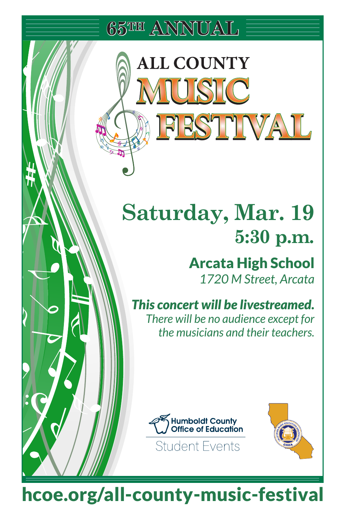**65TH ANNUAL**

**ALL COUNTY** 

**TUSTC** 

**FESTIVAL** 

# **Saturday, Mar. 19 5:30 p.m.**

## Arcata High School *1720 M Street, Arcata*

*This concert will be livestreamed. There will be no audience except for the musicians and their teachers.* 





hcoe.org/all-county-music-festival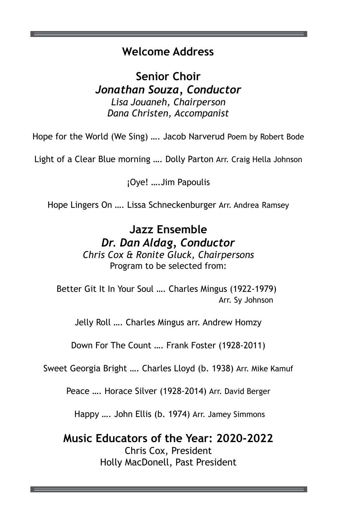#### **Welcome Address Welcome Address**

**Senior Choir Senior Choir** *Jonathan Souza, Conductor Jonathan Souza, Conductor Lisa Jouaneh, Chairperson Lisa Jouaneh, Chairperson Dana Christen, Accompanist Dana Christen, Accompanist*

Hope for the World (We Sing) …. Jacob Narverud Poem by Robert Bode Hope for the World (We Sing) …. Jacob Narverud Poem by Robert Bode

Light of a Clear Blue morning …. Dolly Parton Arr. Craig Hella Johnson Light of a Clear Blue morning …. Dolly Parton Arr. Craig Hella Johnson

¡Oye! ….Jim Papoulis ¡Oye! ….Jim Papoulis

Hope Lingers On …. Lissa Schneckenburger Arr. Andrea Ramsey Hope Lingers On …. Lissa Schneckenburger Arr. Andrea Ramsey

## **Jazz Ensemble Jazz Ensemble** *Dr. Dan Aldag, Conductor Dr. Dan Aldag, Conductor*

*Chris Cox & Ronite Gluck, Chairpersons Chris Cox & Ronite Gluck, Chairpersons* Program to be selected from: Program to be selected from:

Better Git It In Your Soul …. Charles Mingus (1922-1979) Better Git It In Your Soul …. Charles Mingus (1922-1979) Arr. Sy Johnson Arr. Sy Johnson

Jelly Roll …. Charles Mingus arr. Andrew Homzy Jelly Roll …. Charles Mingus arr. Andrew Homzy

Down For The Count …. Frank Foster (1928-2011) Down For The Count …. Frank Foster (1928-2011)

Sweet Georgia Bright …. Charles Lloyd (b. 1938) Arr. Mike Kamuf Sweet Georgia Bright …. Charles Lloyd (b. 1938) Arr. Mike Kamuf

Peace …. Horace Silver (1928-2014) Arr. David Berger Peace …. Horace Silver (1928-2014) Arr. David Berger

Happy …. John Ellis (b. 1974) Arr. Jamey Simmons Happy …. John Ellis (b. 1974) Arr. Jamey Simmons

**Music Educators of the Year: 2020-2022 Music Educators of the Year: 2020-2022** Chris Cox, President Chris Cox, President Holly MacDonell, Past President Holly MacDonell, Past President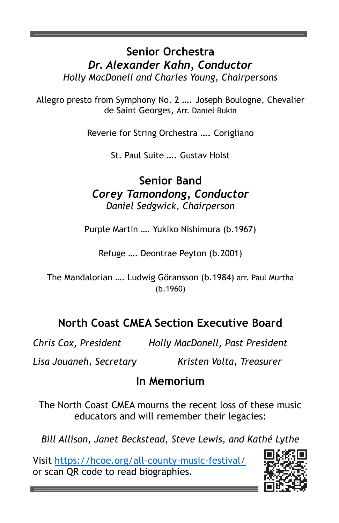## **Senior Orchestra Senior Orchestra** *Dr. Alexander Kahn, Conductor Dr. Alexander Kahn, Conductor Holly MacDonell and Charles Young, Chairpersons Holly MacDonell and Charles Young, Chairpersons*

Allegro presto from Symphony No. 2 …. Joseph Boulogne, Chevalier Allegro presto from Symphony No. 2 …. Joseph Boulogne, Chevalier de Saint Georges, Arr. Daniel Bukin de Saint Georges, Arr. Daniel Bukin

Reverie for String Orchestra …. Corigliano Reverie for String Orchestra …. Corigliano

St. Paul Suite …. Gustav Holst St. Paul Suite …. Gustav Holst

## **Senior Band Senior Band** *Corey Tamondong, Conductor Corey Tamondong, Conductor Daniel Sedgwick, Chairperson Daniel Sedgwick, Chairperson*

Purple Martin …. Yukiko Nishimura (b.1967) Purple Martin …. Yukiko Nishimura (b.1967)

Refuge …. Deontrae Peyton (b.2001) Refuge …. Deontrae Peyton (b.2001)

The Mandalorian …. Ludwig Göransson (b.1984) arr. Paul Murtha The Mandalorian …. Ludwig Göransson (b.1984) arr. Paul Murtha (b.1960)

## **North Coast CMEA Section Executive Board North Coast CMEA Section Executive Board**

*Chris Cox, President Holly MacDonell, Past President Chris Cox, President Holly MacDonell, Past President*

*Lisa Jouaneh, Secretary Kristen Volta, Treasurer Lisa Jouaneh, Secretary Kristen Volta, Treasurer*

## **In Memorium In Memorium**

The North Coast CMEA mourns the recent loss of these music The North Coast CMEA mourns the recent loss of these music educators and will remember their legacies: educators and will remember their legacies:

*Bill Allison, Janet Beckstead, Steve Lewis, and Kathé Lythe Bill Allison, Janet Beckstead, Steve Lewis, and Kathé Lythe*

Visit https://hcoe.org/all-county-music-festival/ Visit https://hcoe.org/all-county-music-festival/ or scan QR code to read biographies. or scan QR code to read biographies.